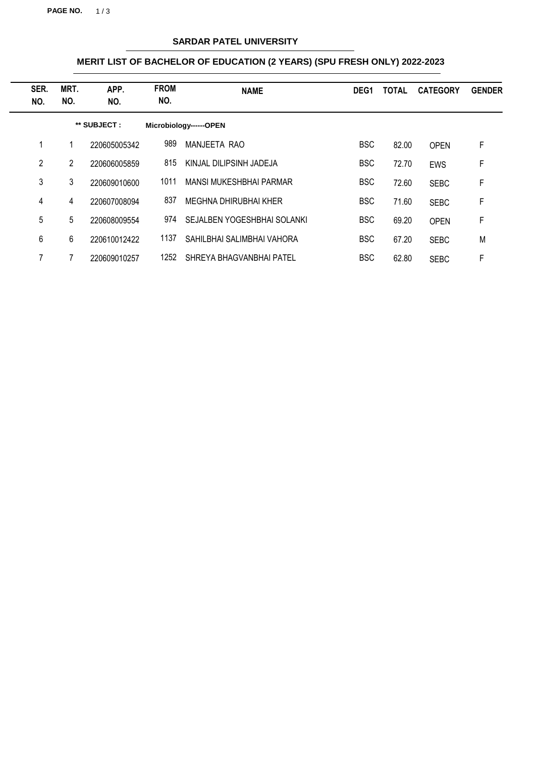**PAGE NO.** 1/3

### **SARDAR PATEL UNIVERSITY**

# **MERIT LIST OF BACHELOR OF EDUCATION (2 YEARS) (SPU FRESH ONLY) 2022-2023**

| SER.<br>NO. | MRT.<br>NO.  | APP.<br>NO.  | <b>FROM</b><br>NO. | <b>NAME</b>                    | DEG <sub>1</sub> | <b>TOTAL</b> | <b>CATEGORY</b> | <b>GENDER</b> |
|-------------|--------------|--------------|--------------------|--------------------------------|------------------|--------------|-----------------|---------------|
|             | ** SUBJECT : |              |                    | Microbiology------OPEN         |                  |              |                 |               |
|             | 1            | 220605005342 | 989                | MANJEETA RAO                   | <b>BSC</b>       | 82.00        | <b>OPEN</b>     | F             |
| 2           | 2            | 220606005859 | 815                | KINJAL DILIPSINH JADEJA        | <b>BSC</b>       | 72.70        | <b>EWS</b>      | F             |
| 3           | 3            | 220609010600 | 1011               | <b>MANSI MUKESHBHAI PARMAR</b> | <b>BSC</b>       | 72.60        | <b>SEBC</b>     | F             |
| 4           | 4            | 220607008094 | 837                | MEGHNA DHIRUBHAI KHER          | <b>BSC</b>       | 71.60        | <b>SEBC</b>     | F             |
| 5           | 5            | 220608009554 | 974                | SEJALBEN YOGESHBHAI SOLANKI    | <b>BSC</b>       | 69.20        | <b>OPEN</b>     | F             |
| 6           | 6            | 220610012422 | 1137               | SAHILBHAI SALIMBHAI VAHORA     | <b>BSC</b>       | 67.20        | <b>SEBC</b>     | M             |
| 7           |              | 220609010257 | 1252               | SHREYA BHAGVANBHAI PATEL       | <b>BSC</b>       | 62.80        | <b>SEBC</b>     | F             |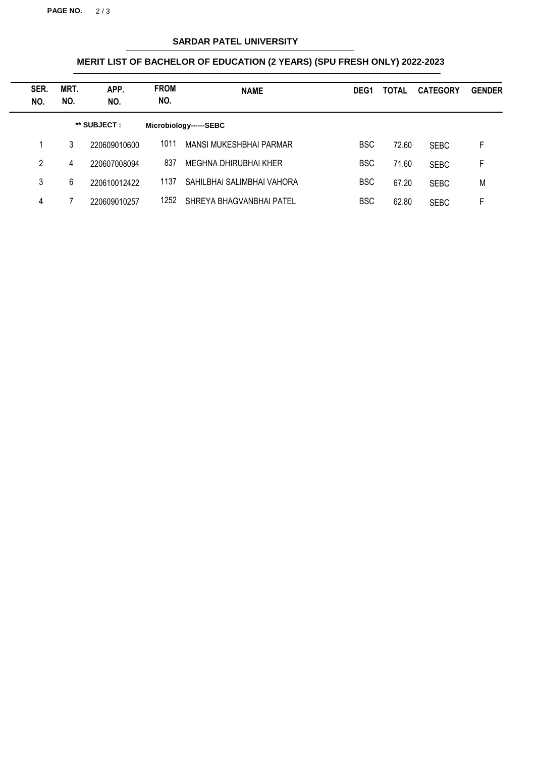**PAGE NO.** 2 / 3

### **SARDAR PATEL UNIVERSITY**

# **MERIT LIST OF BACHELOR OF EDUCATION (2 YEARS) (SPU FRESH ONLY) 2022-2023**

| SER.<br>NO. | MRT.<br>NO. | APP.<br>NO.  | <b>FROM</b><br>NO. | <b>NAME</b>                | DEG <sub>1</sub> | TOTAL | <b>CATEGORY</b> | <b>GENDER</b> |
|-------------|-------------|--------------|--------------------|----------------------------|------------------|-------|-----------------|---------------|
|             |             | ** SUBJECT : |                    | Microbiology------SEBC     |                  |       |                 |               |
|             | 3           | 220609010600 | 1011               | MANSI MUKESHBHAI PARMAR    | <b>BSC</b>       | 72.60 | <b>SEBC</b>     | F             |
| 2           | 4           | 220607008094 | 837                | MEGHNA DHIRUBHAI KHER      | <b>BSC</b>       | 71.60 | <b>SEBC</b>     | F             |
| 3           | 6           | 220610012422 | 1137               | SAHILBHAI SALIMBHAI VAHORA | <b>BSC</b>       | 67.20 | <b>SEBC</b>     | M             |
| 4           |             | 220609010257 | 1252               | SHREYA BHAGVANBHAI PATEL   | <b>BSC</b>       | 62.80 | <b>SEBC</b>     | F             |